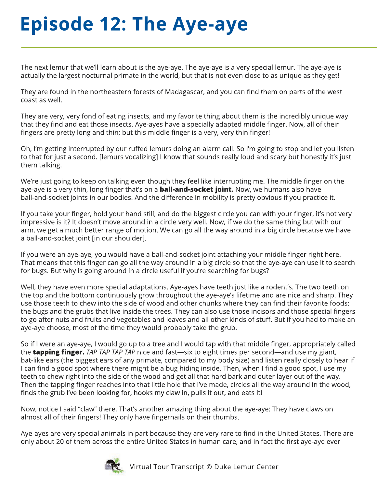## **Episode12:TheAye-aye**

The next lemur that we'll learn about is the aye-aye. The aye-aye is a very special lemur. The aye-aye is actually the largest nocturnal primate in the world, but that is not even close to as unique as they get!

They are found in the northeastern forests of Madagascar, and you can find them on parts of the west coast as well.

They are very, very fond of eating insects, and my favorite thing about them is the incredibly unique way that they find and eat those insects. Aye-ayes have a specially adapted middle finger. Now, all of their fingers are pretty long and thin; but this middle finger is a very, very thin finger!

Oh, I'm getting interrupted by our ruffed lemurs doing an alarm call. So I'm going to stop and let you listen to that for just a second. [lemurs vocalizing] I know that sounds really loud and scary but honestly it's just them talking.

We're just going to keep on talking even though they feel like interrupting me. The middle finger on the aye-aye is a very thin, long finger that's on a **ball-and-socket joint.** Now, we humans also have ball-and-socket joints in our bodies. And the difference in mobility is pretty obvious if you practice it.

If you take your finger, hold your hand still, and do the biggest circle you can with your finger, it's not very impressive is it? It doesn't move around in a circle very well. Now, if we do the same thing but with our arm, we get a much better range of motion. We can go all the way around in a big circle because we have a ball-and-socket joint [in our shoulder].

If you were an aye-aye, you would have a ball-and-socket joint attaching your middle finger right here. That means that this finger can go all the way around in a big circle so that the aye-aye can use it to search for bugs. But why is going around in a circle useful if you're searching for bugs?

Well, they have even more special adaptations. Aye-ayes have teeth just like a rodent's. The two teeth on the top and the bottom continuously grow throughout the aye-aye's lifetime and are nice and sharp. They use those teeth to chew into the side of wood and other chunks where they can find their favorite foods: the bugs and the grubs that live inside the trees. They can also use those incisors and those special fingers to go after nuts and fruits and vegetables and leaves and all other kinds of stuff. But if you had to make an aye-aye choose, most of the time they would probably take the grub.

So if I were an aye-aye, I would go up to a tree and I would tap with that middle finger, appropriately called the **tapping finger.** TAP TAP TAP TAP nice and fast—six to eight times per second—and use my giant, bat-like ears (the biggest ears of any primate, compared to my body size) and listen really closely to hear if I can find a good spot where there might be a bug hiding inside. Then, when I find a good spot, I use my teeth to chew right into the side of the wood and get all that hard bark and outer layer out of the way. Then the tapping finger reaches into that little hole that I've made, circles all the way around in the wood, finds the grub I've been looking for, hooks my claw in, pulls it out, and eats it!

Now, notice I said "claw" there. That's another amazing thing about the aye-aye: They have claws on almost all of their fingers! They only have fingernails on their thumbs.

Aye-ayes are very special animals in part because they are very rare to find in the United States. There are only about 20 of them across the entire United States in human care, and in fact the first aye-aye ever